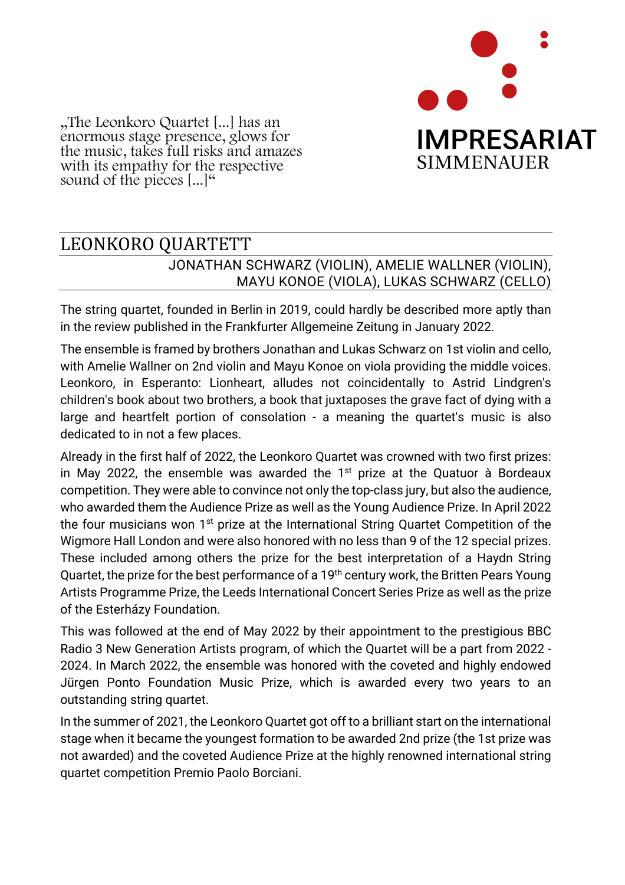

"The Leonkoro Quartet [...] has an enormous stage presence, glows for the music, takes full risks and amazes with its empathy for the respective sound of the pieces  $[...]^{\alpha}$ 

## LEONKORO QUARTETT JONATHAN SCHWARZ (VIOLIN), AMELIE WALLNER (VIOLIN), MAYU KONOE (VIOLA), LUKAS SCHWARZ (CELLO)

The string quartet, founded in Berlin in 2019, could hardly be described more aptly than in the review published in the Frankfurter Allgemeine Zeitung in January 2022.

The ensemble is framed by brothers Jonathan and Lukas Schwarz on 1st violin and cello, with Amelie Wallner on 2nd violin and Mayu Konoe on viola providing the middle voices. Leonkoro, in Esperanto: Lionheart, alludes not coincidentally to Astrid Lindgren's children's book about two brothers, a book that juxtaposes the grave fact of dying with a large and heartfelt portion of consolation - a meaning the quartet's music is also dedicated to in not a few places.

Already in the first half of 2022, the Leonkoro Quartet was crowned with two first prizes: in May 2022, the ensemble was awarded the  $1<sup>st</sup>$  prize at the Quatuor à Bordeaux competition. They were able to convince not only the top-class jury, but also the audience, who awarded them the Audience Prize as well as the Young Audience Prize. In April 2022 the four musicians won 1<sup>st</sup> prize at the International String Quartet Competition of the Wigmore Hall London and were also honored with no less than 9 of the 12 special prizes. These included among others the prize for the best interpretation of a Haydn String Quartet, the prize for the best performance of a 19<sup>th</sup> century work, the Britten Pears Young Artists Programme Prize, the Leeds International Concert Series Prize as well as the prize of the Esterházy Foundation.

This was followed at the end of May 2022 by their appointment to the prestigious BBC Radio 3 New Generation Artists program, of which the Quartet will be a part from 2022 - 2024. In March 2022, the ensemble was honored with the coveted and highly endowed Jürgen Ponto Foundation Music Prize, which is awarded every two years to an outstanding string quartet.

In the summer of 2021, the Leonkoro Quartet got off to a brilliant start on the international stage when it became the youngest formation to be awarded 2nd prize (the 1st prize was not awarded) and the coveted Audience Prize at the highly renowned international string quartet competition Premio Paolo Borciani.